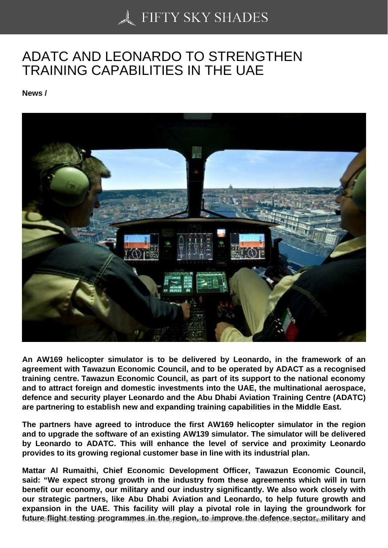## [ADATC AND LEONAR](https://50skyshades.com)DO TO STRENGTHEN TRAINING CAPABILITIES IN THE UAE

News /

An AW169 helicopter simulator is to be delivered by Leonardo, in the framework of an agreement with Tawazun Economic Council, and to be operated by ADACT as a recognised training centre. Tawazun Economic Council, as part of its support to the national economy and to attract foreign and domestic investments into the UAE, the multinational aerospace, defence and security player Leonardo and the Abu Dhabi Aviation Training Centre (ADATC) are partnering to establish new and expanding training capabilities in the Middle East.

The partners have agreed to introduce the first AW169 helicopter simulator in the region and to upgrade the software of an existing AW139 simulator. The simulator will be delivered by Leonardo to ADATC. This will enhance the level of service and proximity Leonardo provides to its growing regional customer base in line with its industrial plan.

Mattar Al Rumaithi, Chief Economic Development Officer, Tawazun Economic Council, said: "We expect strong growth in the industry from these agreements which will in turn benefit our economy, our military and our industry significantly. We also work closely with our strategic partners, like Abu Dhabi Aviation and Leonardo, to help future growth and expansion in the UAE. This facility will play a pivotal role in laying the groundwork for future flight testing programmes in the region, to improve the defence sector, military and  $\frac{1}{100}$